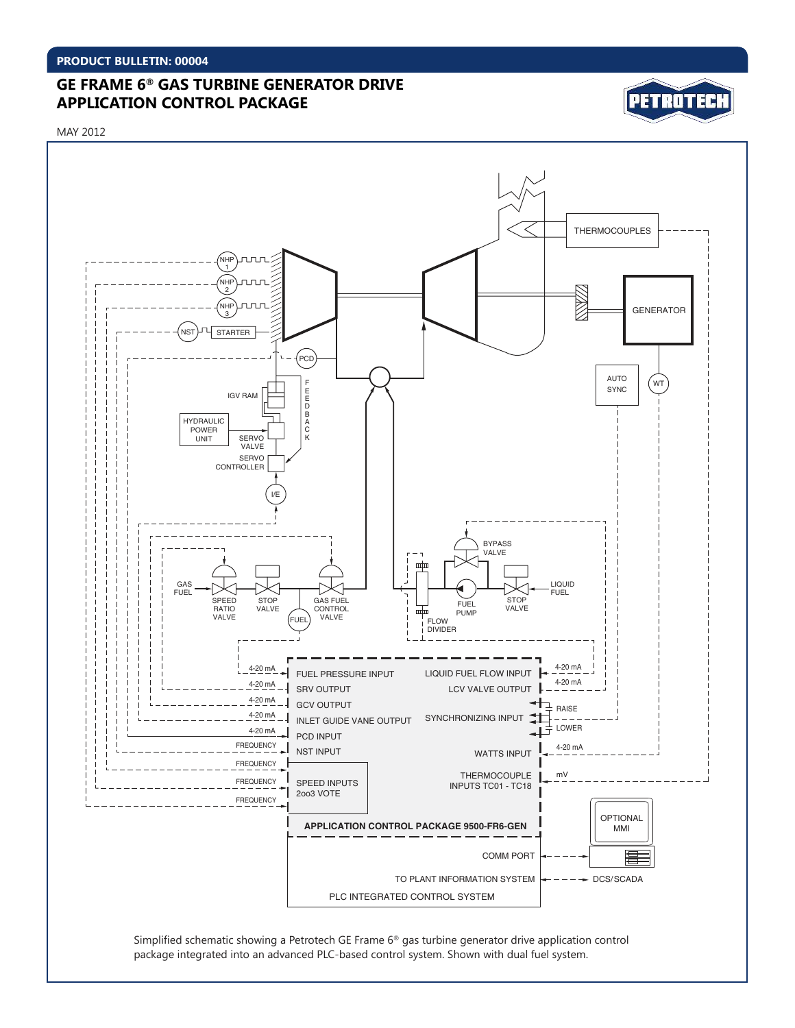# **GE FRAME 6® GAS TURBINE GENERATOR DRIVE APPLICATION CONTROL PACKAGE**



MAY 2012



Simplified schematic showing a Petrotech GE Frame 6® gas turbine generator drive application control package integrated into an advanced PLC-based control system. Shown with dual fuel system.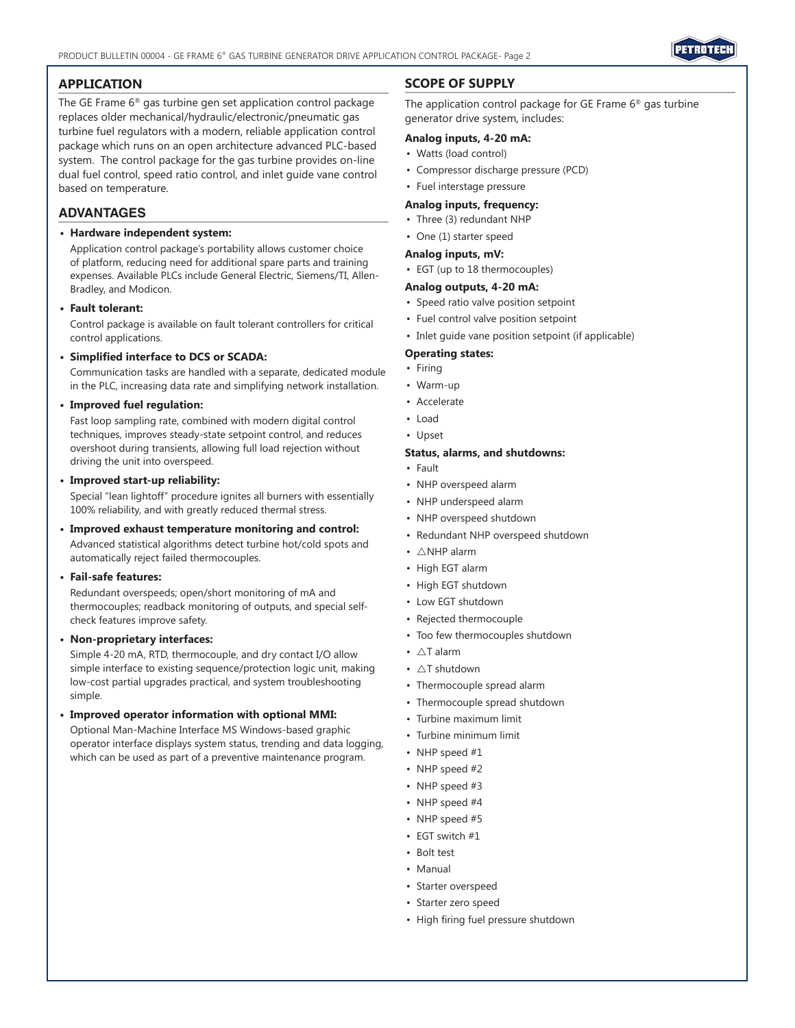

### **APPLICATION**

The GE Frame 6® gas turbine gen set application control package replaces older mechanical/hydraulic/electronic/pneumatic gas turbine fuel regulators with a modern, reliable application control package which runs on an open architecture advanced PLC-based system. The control package for the gas turbine provides on-line dual fuel control, speed ratio control, and inlet guide vane control based on temperature.

### **ADVANTAGES**

#### **• Hardware independent system:**

Application control package's portability allows customer choice of platform, reducing need for additional spare parts and training expenses. Available PLCs include General Electric, Siemens/TI, Allen-Bradley, and Modicon.

#### **• Fault tolerant:**

Control package is available on fault tolerant controllers for critical control applications.

#### **• Simplified interface to DCS or SCADA:**

Communication tasks are handled with a separate, dedicated module in the PLC, increasing data rate and simplifying network installation.

#### **• Improved fuel regulation:**

Fast loop sampling rate, combined with modern digital control techniques, improves steady-state setpoint control, and reduces overshoot during transients, allowing full load rejection without driving the unit into overspeed.

#### **• Improved start-up reliability:**

Special "lean lightoff" procedure ignites all burners with essentially 100% reliability, and with greatly reduced thermal stress.

# **• Improved exhaust temperature monitoring and control:**

Advanced statistical algorithms detect turbine hot/cold spots and automatically reject failed thermocouples.

#### **• Fail-safe features:**

Redundant overspeeds; open/short monitoring of mA and thermocouples; readback monitoring of outputs, and special selfcheck features improve safety.

#### **• Non-proprietary interfaces:**

Simple 4-20 mA, RTD, thermocouple, and dry contact I/O allow simple interface to existing sequence/protection logic unit, making low-cost partial upgrades practical, and system troubleshooting simple.

#### **• Improved operator information with optional MMI:**

Optional Man-Machine Interface MS Windows-based graphic operator interface displays system status, trending and data logging, which can be used as part of a preventive maintenance program.

## **SCOPE OF SUPPLY**

The application control package for GE Frame 6® gas turbine generator drive system, includes:

#### **Analog inputs, 4-20 mA:**

- Watts (load control)
- Compressor discharge pressure (PCD)
- Fuel interstage pressure

#### **Analog inputs, frequency:**

- Three (3) redundant NHP
- One (1) starter speed

#### **Analog inputs, mV:**

• EGT (up to 18 thermocouples)

#### **Analog outputs, 4-20 mA:**

- Speed ratio valve position setpoint
- Fuel control valve position setpoint
- Inlet guide vane position setpoint (if applicable)

#### **Operating states:**

- Firing
- Warm-up
- Accelerate
- Load
- Upset

#### **Status, alarms, and shutdowns:**

- Fault
- NHP overspeed alarm
- NHP underspeed alarm
- NHP overspeed shutdown
- Redundant NHP overspeed shutdown
- $\triangle$ NHP alarm
- High EGT alarm
- High EGT shutdown
- Low EGT shutdown
- Rejected thermocouple
- Too few thermocouples shutdown
- $\triangle$ T alarm
- $\triangle T$  shutdown
- Thermocouple spread alarm
- Thermocouple spread shutdown
- Turbine maximum limit
- Turbine minimum limit
- NHP speed #1
- NHP speed #2
- NHP speed #3
- NHP speed #4
- NHP speed #5
- EGT switch #1
- Bolt test
- Manual
- Starter overspeed
- Starter zero speed
- High firing fuel pressure shutdown